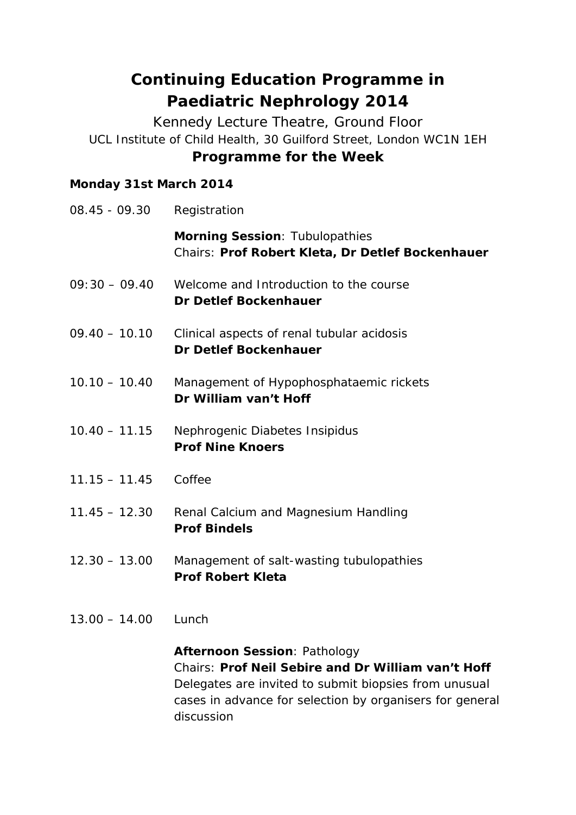# **Continuing Education Programme in Paediatric Nephrology 2014**

Kennedy Lecture Theatre, Ground Floor UCL Institute of Child Health, 30 Guilford Street, London WC1N 1EH **Programme for the Week**

#### **Monday 31st March 2014**

| 08.45 - 09.30   | Registration                                                                                                                                                                                                                 |
|-----------------|------------------------------------------------------------------------------------------------------------------------------------------------------------------------------------------------------------------------------|
|                 | Morning Session: Tubulopathies<br>Chairs: Prof Robert Kleta, Dr Detlef Bockenhauer                                                                                                                                           |
| $09:30 - 09.40$ | Welcome and Introduction to the course<br>Dr Detlef Bockenhauer                                                                                                                                                              |
| $09.40 - 10.10$ | Clinical aspects of renal tubular acidosis<br><b>Dr Detlef Bockenhauer</b>                                                                                                                                                   |
| $10.10 - 10.40$ | Management of Hypophosphataemic rickets<br>Dr William van't Hoff                                                                                                                                                             |
| $10.40 - 11.15$ | Nephrogenic Diabetes Insipidus<br><b>Prof Nine Knoers</b>                                                                                                                                                                    |
| $11.15 - 11.45$ | Coffee                                                                                                                                                                                                                       |
| $11.45 - 12.30$ | Renal Calcium and Magnesium Handling<br><b>Prof Bindels</b>                                                                                                                                                                  |
| $12.30 - 13.00$ | Management of salt-wasting tubulopathies<br><b>Prof Robert Kleta</b>                                                                                                                                                         |
| $13.00 - 14.00$ | Lunch                                                                                                                                                                                                                        |
|                 | <b>Afternoon Session: Pathology</b><br>Chairs: Prof Neil Sebire and Dr William van't Hoff<br>Delegates are invited to submit biopsies from unusual<br>a a dhe sa shekarar na Camara a La Latin na Latin ama matama na Camara |

cases in advance for selection by organisers for general discussion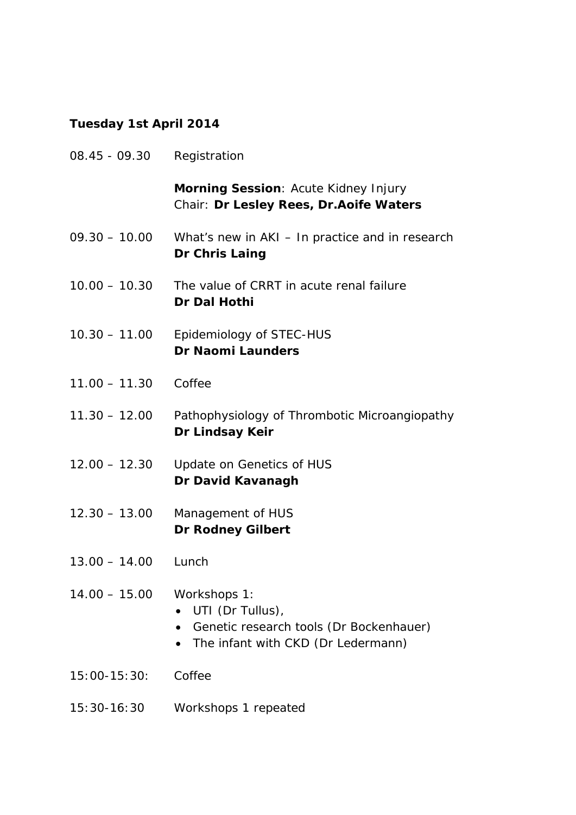### **Tuesday 1st April 2014**

| 08.45 - 09.30    | Registration                                                                                                      |
|------------------|-------------------------------------------------------------------------------------------------------------------|
|                  | Morning Session: Acute Kidney Injury<br>Chair: Dr Lesley Rees, Dr. Aoife Waters                                   |
| $09.30 - 10.00$  | What's new in AKI - In practice and in research<br>Dr Chris Laing                                                 |
| $10.00 - 10.30$  | The value of CRRT in acute renal failure<br>Dr Dal Hothi                                                          |
| $10.30 - 11.00$  | Epidemiology of STEC-HUS<br><b>Dr Naomi Launders</b>                                                              |
| $11.00 - 11.30$  | Coffee                                                                                                            |
| $11.30 - 12.00$  | Pathophysiology of Thrombotic Microangiopathy<br>Dr Lindsay Keir                                                  |
| $12.00 - 12.30$  | Update on Genetics of HUS<br>Dr David Kavanagh                                                                    |
| $12.30 - 13.00$  | Management of HUS<br><b>Dr Rodney Gilbert</b>                                                                     |
| $13.00 - 14.00$  | Lunch                                                                                                             |
| $14.00 - 15.00$  | Workshops 1:<br>UTI (Dr Tullus),<br>Genetic research tools (Dr Bockenhauer)<br>The infant with CKD (Dr Ledermann) |
| $15:00 - 15:30:$ | Coffee                                                                                                            |
| $15:30-16:30$    | Workshops 1 repeated                                                                                              |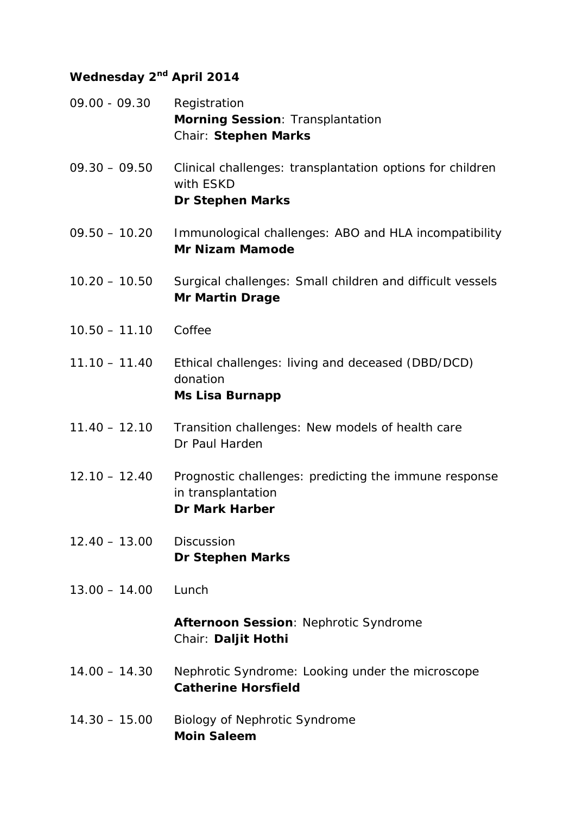#### **Wednesday 2nd April 2014**

- 09.00 09.30 Registration **Morning Session**: Transplantation Chair: **Stephen Marks**
- 09.30 09.50 Clinical challenges: transplantation options for children with ESKD *Dr Stephen Marks*
- 09.50 10.20 Immunological challenges: ABO and HLA incompatibility *Mr Nizam Mamode*
- 10.20 10.50 Surgical challenges: Small children and difficult vessels *Mr Martin Drage*
- 10.50 11.10 Coffee
- 11.10 11.40 Ethical challenges: living and deceased (DBD/DCD) donation *Ms Lisa Burnapp*
- 11.40 12.10 Transition challenges: New models of health care Dr Paul Harden
- 12.10 12.40 Prognostic challenges: predicting the immune response in transplantation *Dr Mark Harber*
- 12.40 13.00 Discussion *Dr Stephen Marks*
- 13.00 14.00 Lunch

**Afternoon Session**: Nephrotic Syndrome Chair: **Daljit Hothi**

- 14.00 14.30 Nephrotic Syndrome: Looking under the microscope *Catherine Horsfield*
- 14.30 15.00 Biology of Nephrotic Syndrome *Moin Saleem*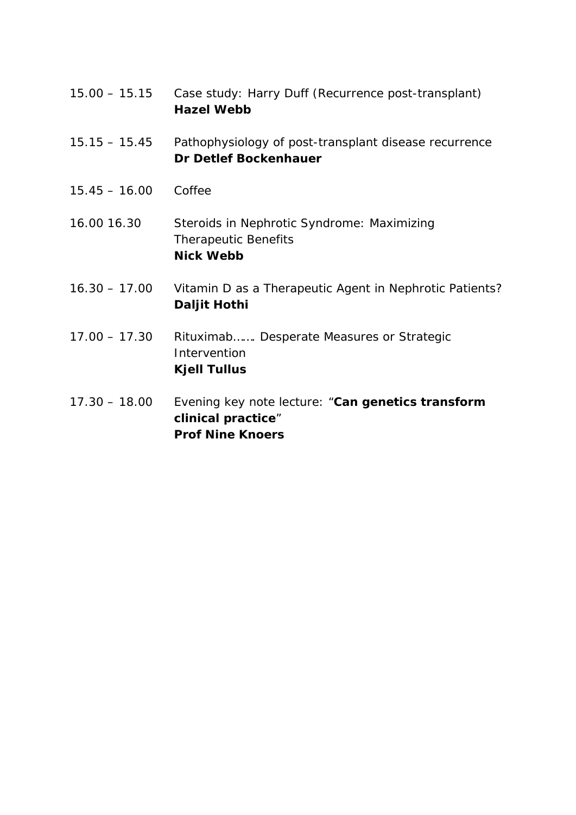- 15.00 15.15 Case study: Harry Duff (Recurrence post-transplant) *Hazel Webb*
- 15.15 15.45 Pathophysiology of post-transplant disease recurrence *Dr Detlef Bockenhauer*
- 15.45 16.00 Coffee

16.00 16.30 Steroids in Nephrotic Syndrome: Maximizing Therapeutic Benefits *Nick Webb*

- 16.30 17.00 Vitamin D as a Therapeutic Agent in Nephrotic Patients? *Daljit Hothi*
- 17.00 17.30 Rituximab……. Desperate Measures or Strategic Intervention *Kjell Tullus*
- 17.30 18.00 Evening key note lecture: "**Can genetics transform clinical practice**" *Prof Nine Knoers*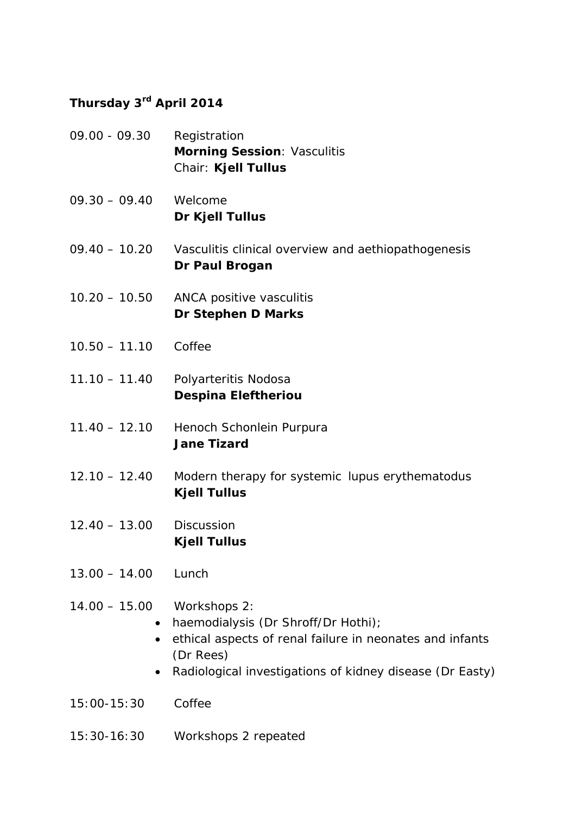#### **Thursday 3rd April 2014**

09.00 - 09.30 Registration **Morning Session**: Vasculitis Chair: **Kjell Tullus** 09.30 – 09.40 Welcome *Dr Kjell Tullus* 09.40 – 10.20 Vasculitis clinical overview and aethiopathogenesis *Dr Paul Brogan* 10.20 – 10.50 ANCA positive vasculitis *Dr Stephen D Marks* 10.50 – 11.10 Coffee 11.10 – 11.40 Polyarteritis Nodosa *Despina Eleftheriou* 11.40 – 12.10 Henoch Schonlein Purpura *Jane Tizard* 12.10 – 12.40 Modern therapy for systemic lupus erythematodus *Kjell Tullus* 12.40 – 13.00 Discussion *Kjell Tullus* 13.00 – 14.00 Lunch 14.00 – 15.00 Workshops 2: • haemodialysis (Dr Shroff/Dr Hothi); • ethical aspects of renal failure in neonates and infants (Dr Rees) • Radiological investigations of kidney disease (Dr Easty) 15:00-15:30 Coffee 15:30-16:30 Workshops 2 repeated